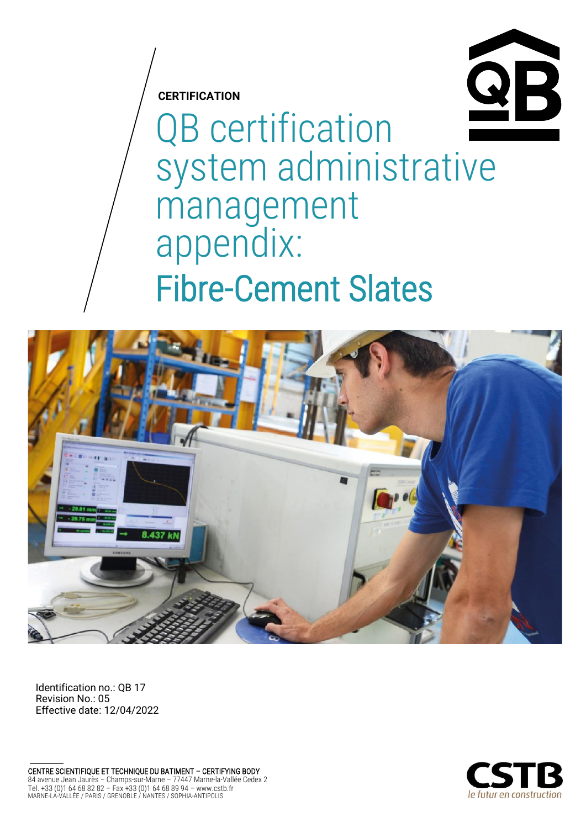

**CERTIFICATION**

QB certification system administrative management appendix: Fibre-Cement Slates



Identification no.: QB 17 Revision No.: 05 Effective date: 12/04/2022

CENTRE SCIENTIFIQUE ET TECHNIQUE DU BATIMENT – CERTIFYING BODY 84 avenue Jean Jaurès – Champs-sur-Marne – 77447 Marne-la-Vallée Cedex 2 Tel. +33 (0)1 64 68 82 82 – Fax +33 (0)1 64 68 89 94 – www.cstb.fr MARNE-LA-VALLÉE / PARIS / GRENOBLE / NANTES / SOPHIA-ANTIPOLIS

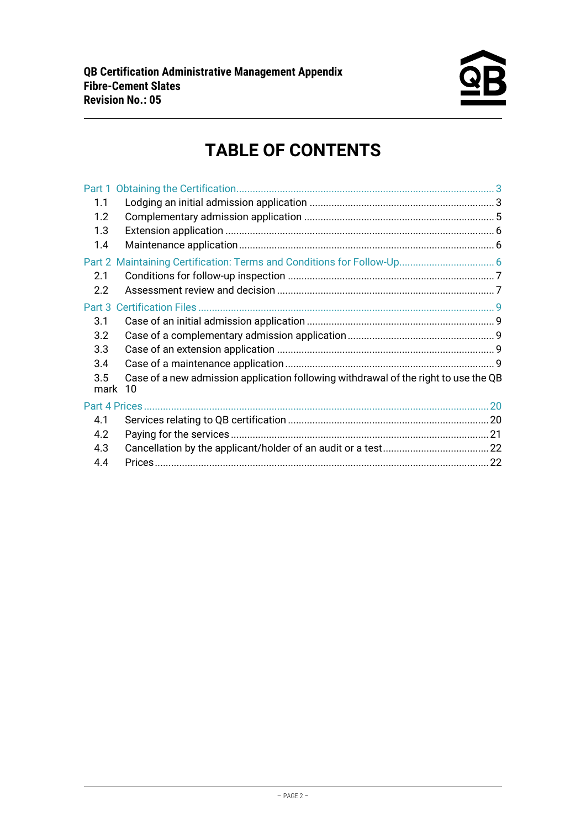

# **TABLE OF CONTENTS**

| 1.1            |                                                                                     |  |
|----------------|-------------------------------------------------------------------------------------|--|
| 1.2            |                                                                                     |  |
| 1.3            |                                                                                     |  |
| 1.4            |                                                                                     |  |
|                |                                                                                     |  |
| 2.1            |                                                                                     |  |
| 2.2            |                                                                                     |  |
|                |                                                                                     |  |
| 3.1            |                                                                                     |  |
| 3.2            |                                                                                     |  |
| 3.3            |                                                                                     |  |
| 3.4            |                                                                                     |  |
| 3.5<br>mark 10 | Case of a new admission application following withdrawal of the right to use the QB |  |
| Part 4 Prices. |                                                                                     |  |
| 4.1            |                                                                                     |  |
| 4.2            |                                                                                     |  |
| 4.3            |                                                                                     |  |
| 4.4            |                                                                                     |  |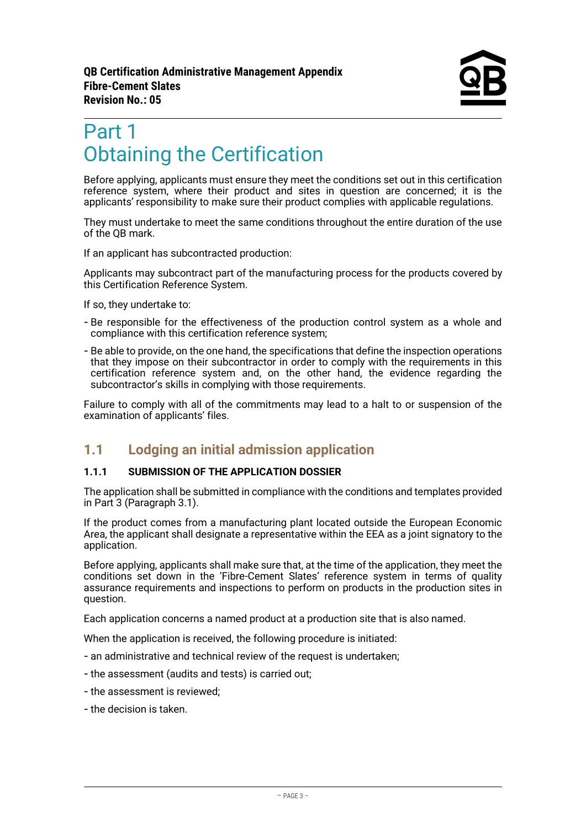# <span id="page-2-0"></span>Part 1 Obtaining the Certification

Before applying, applicants must ensure they meet the conditions set out in this certification reference system, where their product and sites in question are concerned; it is the applicants' responsibility to make sure their product complies with applicable regulations.

They must undertake to meet the same conditions throughout the entire duration of the use of the QB mark.

If an applicant has subcontracted production:

Applicants may subcontract part of the manufacturing process for the products covered by this Certification Reference System.

If so, they undertake to:

- Be responsible for the effectiveness of the production control system as a whole and compliance with this certification reference system;
- Be able to provide, on the one hand, the specifications that define the inspection operations that they impose on their subcontractor in order to comply with the requirements in this certification reference system and, on the other hand, the evidence regarding the subcontractor's skills in complying with those requirements.

<span id="page-2-1"></span>Failure to comply with all of the commitments may lead to a halt to or suspension of the examination of applicants' files.

### **1.1 Lodging an initial admission application**

#### **1.1.1 SUBMISSION OF THE APPLICATION DOSSIER**

The application shall be submitted in compliance with the conditions and templates provided in Part 3 (Paragraph 3.1).

If the product comes from a manufacturing plant located outside the European Economic Area, the applicant shall designate a representative within the EEA as a joint signatory to the application.

Before applying, applicants shall make sure that, at the time of the application, they meet the conditions set down in the 'Fibre-Cement Slates' reference system in terms of quality assurance requirements and inspections to perform on products in the production sites in question.

Each application concerns a named product at a production site that is also named.

When the application is received, the following procedure is initiated:

- an administrative and technical review of the request is undertaken;
- the assessment (audits and tests) is carried out;
- the assessment is reviewed;
- the decision is taken.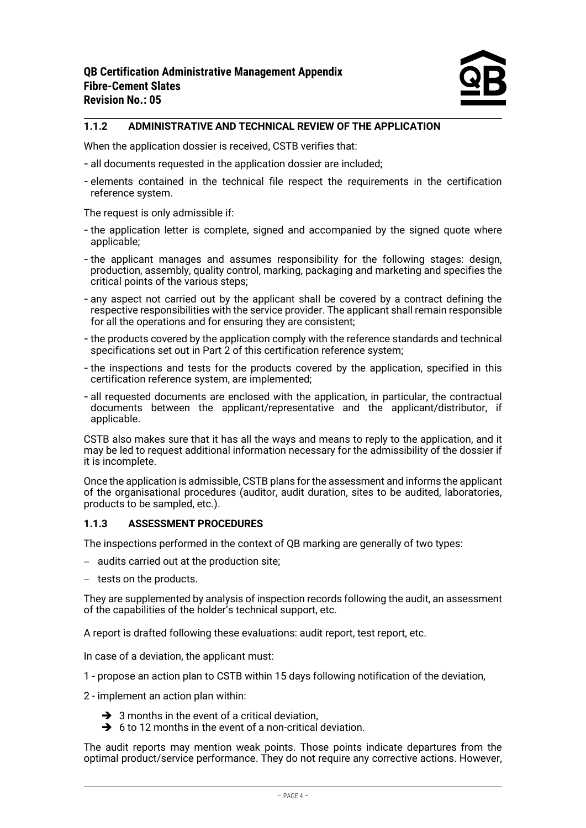### **1.1.2 ADMINISTRATIVE AND TECHNICAL REVIEW OF THE APPLICATION**

When the application dossier is received, CSTB verifies that:

- all documents requested in the application dossier are included;
- elements contained in the technical file respect the requirements in the certification reference system.

The request is only admissible if:

- the application letter is complete, signed and accompanied by the signed quote where applicable;
- the applicant manages and assumes responsibility for the following stages: design, production, assembly, quality control, marking, packaging and marketing and specifies the critical points of the various steps;
- any aspect not carried out by the applicant shall be covered by a contract defining the respective responsibilities with the service provider. The applicant shall remain responsible for all the operations and for ensuring they are consistent;
- the products covered by the application comply with the reference standards and technical specifications set out in Part 2 of this certification reference system;
- the inspections and tests for the products covered by the application, specified in this certification reference system, are implemented;
- all requested documents are enclosed with the application, in particular, the contractual documents between the applicant/representative and the applicant/distributor, if applicable.

CSTB also makes sure that it has all the ways and means to reply to the application, and it may be led to request additional information necessary for the admissibility of the dossier if it is incomplete.

Once the application is admissible, CSTB plans for the assessment and informs the applicant of the organisational procedures (auditor, audit duration, sites to be audited, laboratories, products to be sampled, etc.).

#### **1.1.3 ASSESSMENT PROCEDURES**

The inspections performed in the context of QB marking are generally of two types:

- − audits carried out at the production site;
- − tests on the products.

They are supplemented by analysis of inspection records following the audit, an assessment of the capabilities of the holder's technical support, etc.

A report is drafted following these evaluations: audit report, test report, etc.

In case of a deviation, the applicant must:

1 - propose an action plan to CSTB within 15 days following notification of the deviation,

2 - implement an action plan within:

- $\rightarrow$  3 months in the event of a critical deviation,
- $\rightarrow$  6 to 12 months in the event of a non-critical deviation.

The audit reports may mention weak points. Those points indicate departures from the optimal product/service performance. They do not require any corrective actions. However,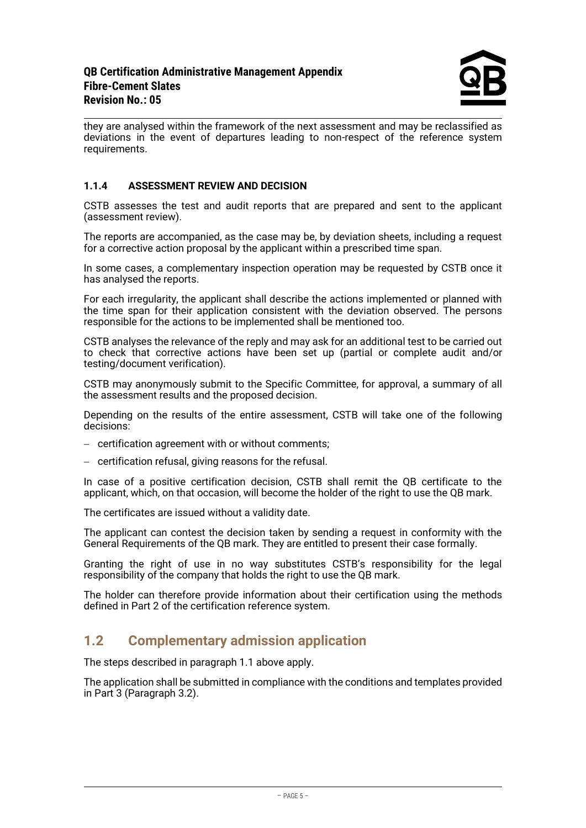they are analysed within the framework of the next assessment and may be reclassified as deviations in the event of departures leading to non-respect of the reference system requirements.

### **1.1.4 ASSESSMENT REVIEW AND DECISION**

CSTB assesses the test and audit reports that are prepared and sent to the applicant (assessment review).

The reports are accompanied, as the case may be, by deviation sheets, including a request for a corrective action proposal by the applicant within a prescribed time span.

In some cases, a complementary inspection operation may be requested by CSTB once it has analysed the reports.

For each irregularity, the applicant shall describe the actions implemented or planned with the time span for their application consistent with the deviation observed. The persons responsible for the actions to be implemented shall be mentioned too.

CSTB analyses the relevance of the reply and may ask for an additional test to be carried out to check that corrective actions have been set up (partial or complete audit and/or testing/document verification).

CSTB may anonymously submit to the Specific Committee, for approval, a summary of all the assessment results and the proposed decision.

Depending on the results of the entire assessment, CSTB will take one of the following decisions:

− certification agreement with or without comments;

− certification refusal, giving reasons for the refusal.

In case of a positive certification decision, CSTB shall remit the QB certificate to the applicant, which, on that occasion, will become the holder of the right to use the QB mark.

The certificates are issued without a validity date.

The applicant can contest the decision taken by sending a request in conformity with the General Requirements of the QB mark. They are entitled to present their case formally.

Granting the right of use in no way substitutes CSTB's responsibility for the legal responsibility of the company that holds the right to use the QB mark.

The holder can therefore provide information about their certification using the methods defined in Part 2 of the certification reference system.

### <span id="page-4-0"></span>**1.2 Complementary admission application**

The steps described in paragraph 1.1 above apply.

The application shall be submitted in compliance with the conditions and templates provided in Part 3 (Paragraph 3.2).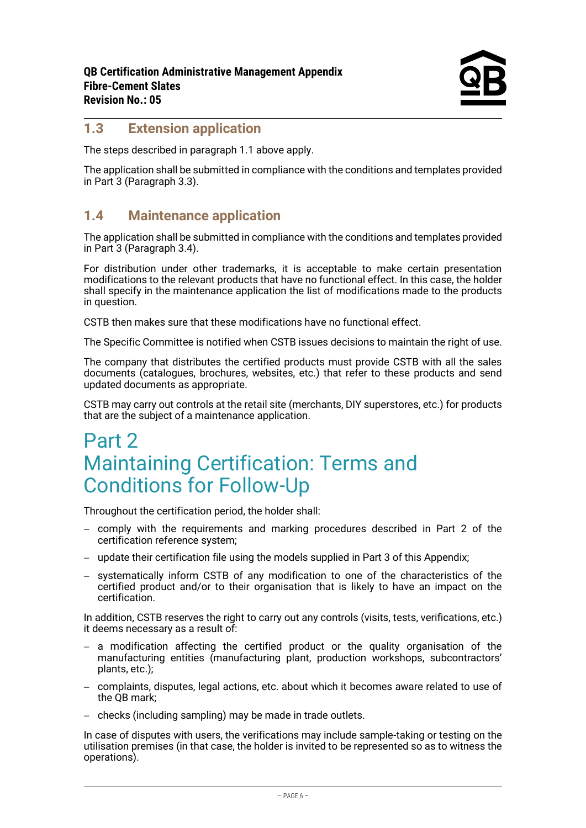# <span id="page-5-0"></span>**1.3 Extension application**

The steps described in paragraph 1.1 above apply.

The application shall be submitted in compliance with the conditions and templates provided in Part 3 (Paragraph 3.3).

## <span id="page-5-1"></span>**1.4 Maintenance application**

The application shall be submitted in compliance with the conditions and templates provided in Part 3 (Paragraph 3.4).

For distribution under other trademarks, it is acceptable to make certain presentation modifications to the relevant products that have no functional effect. In this case, the holder shall specify in the maintenance application the list of modifications made to the products in question.

CSTB then makes sure that these modifications have no functional effect.

The Specific Committee is notified when CSTB issues decisions to maintain the right of use.

The company that distributes the certified products must provide CSTB with all the sales documents (catalogues, brochures, websites, etc.) that refer to these products and send updated documents as appropriate.

CSTB may carry out controls at the retail site (merchants, DIY superstores, etc.) for products that are the subject of a maintenance application.

# <span id="page-5-2"></span>Part 2 Maintaining Certification: Terms and Conditions for Follow-Up

Throughout the certification period, the holder shall:

- − comply with the requirements and marking procedures described in Part 2 of the certification reference system;
- − update their certification file using the models supplied in Part 3 of this Appendix;
- − systematically inform CSTB of any modification to one of the characteristics of the certified product and/or to their organisation that is likely to have an impact on the certification.

In addition, CSTB reserves the right to carry out any controls (visits, tests, verifications, etc.) it deems necessary as a result of:

- − a modification affecting the certified product or the quality organisation of the manufacturing entities (manufacturing plant, production workshops, subcontractors' plants, etc.);
- − complaints, disputes, legal actions, etc. about which it becomes aware related to use of the OB mark:
- − checks (including sampling) may be made in trade outlets.

In case of disputes with users, the verifications may include sample-taking or testing on the utilisation premises (in that case, the holder is invited to be represented so as to witness the operations).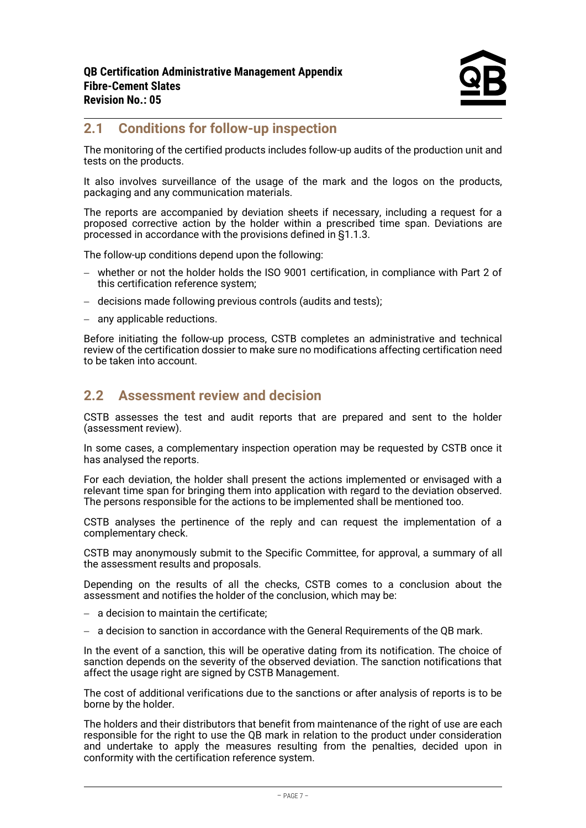## <span id="page-6-0"></span>**2.1 Conditions for follow-up inspection**

The monitoring of the certified products includes follow-up audits of the production unit and tests on the products.

It also involves surveillance of the usage of the mark and the logos on the products, packaging and any communication materials.

The reports are accompanied by deviation sheets if necessary, including a request for a proposed corrective action by the holder within a prescribed time span. Deviations are processed in accordance with the provisions defined in §1.1.3.

The follow-up conditions depend upon the following:

- − whether or not the holder holds the ISO 9001 certification, in compliance with Part 2 of this certification reference system;
- − decisions made following previous controls (audits and tests);
- − any applicable reductions.

Before initiating the follow-up process, CSTB completes an administrative and technical review of the certification dossier to make sure no modifications affecting certification need to be taken into account.

## <span id="page-6-1"></span>**2.2 Assessment review and decision**

CSTB assesses the test and audit reports that are prepared and sent to the holder (assessment review).

In some cases, a complementary inspection operation may be requested by CSTB once it has analysed the reports.

For each deviation, the holder shall present the actions implemented or envisaged with a relevant time span for bringing them into application with regard to the deviation observed. The persons responsible for the actions to be implemented shall be mentioned too.

CSTB analyses the pertinence of the reply and can request the implementation of a complementary check.

CSTB may anonymously submit to the Specific Committee, for approval, a summary of all the assessment results and proposals.

Depending on the results of all the checks, CSTB comes to a conclusion about the assessment and notifies the holder of the conclusion, which may be:

- − a decision to maintain the certificate;
- − a decision to sanction in accordance with the General Requirements of the QB mark.

In the event of a sanction, this will be operative dating from its notification. The choice of sanction depends on the severity of the observed deviation. The sanction notifications that affect the usage right are signed by CSTB Management.

The cost of additional verifications due to the sanctions or after analysis of reports is to be borne by the holder.

The holders and their distributors that benefit from maintenance of the right of use are each responsible for the right to use the QB mark in relation to the product under consideration and undertake to apply the measures resulting from the penalties, decided upon in conformity with the certification reference system.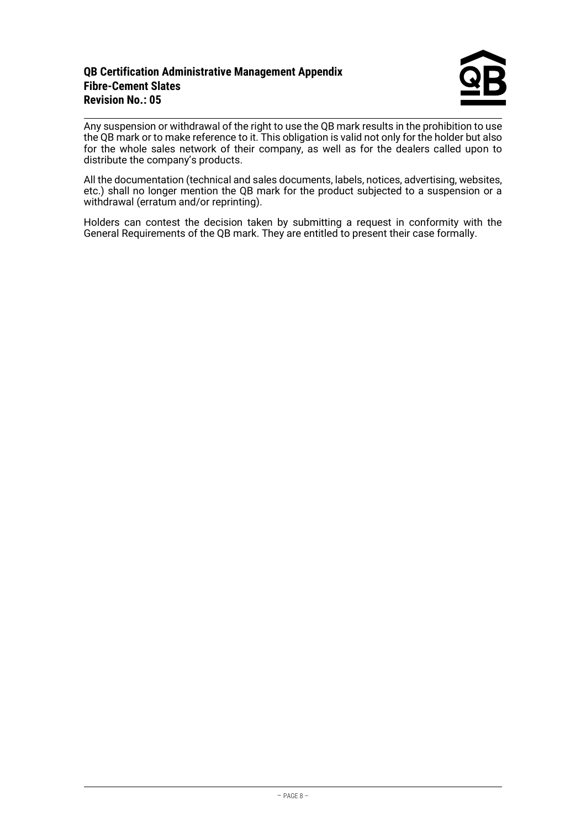### **QB Certification Administrative Management Appendix Fibre-Cement Slates Revision No.: 05**

Any suspension or withdrawal of the right to use the QB mark results in the prohibition to use the QB mark or to make reference to it. This obligation is valid not only for the holder but also for the whole sales network of their company, as well as for the dealers called upon to distribute the company's products.

All the documentation (technical and sales documents, labels, notices, advertising, websites, etc.) shall no longer mention the QB mark for the product subjected to a suspension or a withdrawal (erratum and/or reprinting).

Holders can contest the decision taken by submitting a request in conformity with the General Requirements of the QB mark. They are entitled to present their case formally.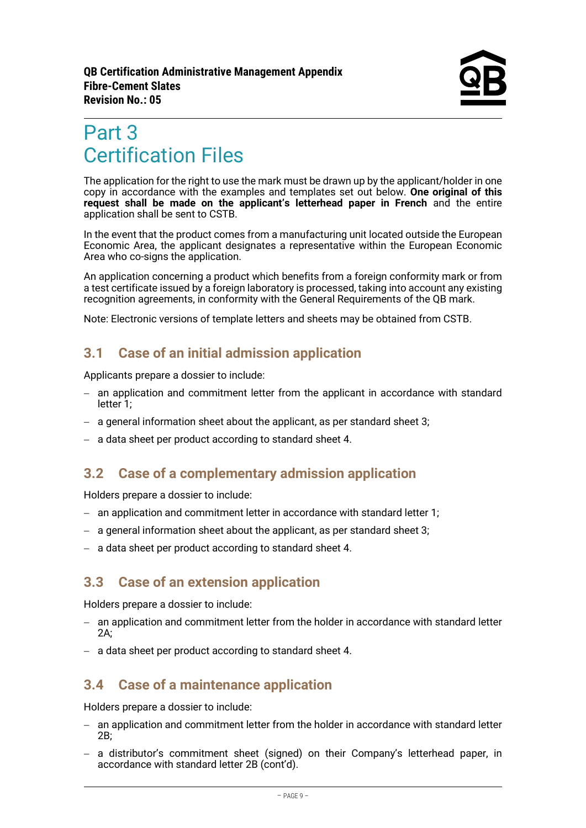# <span id="page-8-0"></span>Part 3 Certification Files

The application for the right to use the mark must be drawn up by the applicant/holder in one copy in accordance with the examples and templates set out below. **One original of this request shall be made on the applicant's letterhead paper in French** and the entire application shall be sent to CSTB.

In the event that the product comes from a manufacturing unit located outside the European Economic Area, the applicant designates a representative within the European Economic Area who co-signs the application.

An application concerning a product which benefits from a foreign conformity mark or from a test certificate issued by a foreign laboratory is processed, taking into account any existing recognition agreements, in conformity with the General Requirements of the QB mark.

<span id="page-8-1"></span>Note: Electronic versions of template letters and sheets may be obtained from CSTB.

# **3.1 Case of an initial admission application**

Applicants prepare a dossier to include:

- − an application and commitment letter from the applicant in accordance with standard letter 1;
- − a general information sheet about the applicant, as per standard sheet 3;
- <span id="page-8-2"></span>− a data sheet per product according to standard sheet 4.

# **3.2 Case of a complementary admission application**

Holders prepare a dossier to include:

- − an application and commitment letter in accordance with standard letter 1;
- − a general information sheet about the applicant, as per standard sheet 3;
- <span id="page-8-3"></span>− a data sheet per product according to standard sheet 4.

# **3.3 Case of an extension application**

Holders prepare a dossier to include:

- − an application and commitment letter from the holder in accordance with standard letter 2A;
- <span id="page-8-4"></span>− a data sheet per product according to standard sheet 4.

# **3.4 Case of a maintenance application**

Holders prepare a dossier to include:

- − an application and commitment letter from the holder in accordance with standard letter 2B;
- − a distributor's commitment sheet (signed) on their Company's letterhead paper, in accordance with standard letter 2B (cont'd).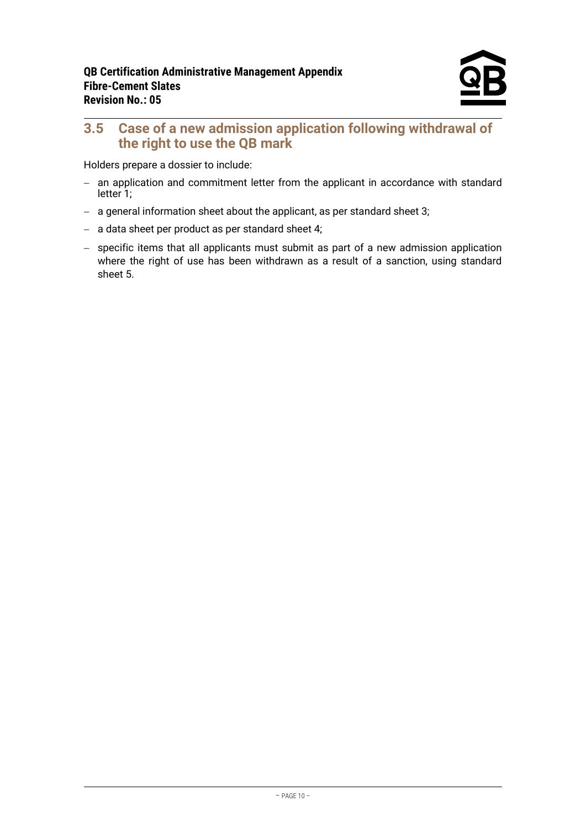# <span id="page-9-0"></span>**3.5 Case of a new admission application following withdrawal of the right to use the QB mark**

Holders prepare a dossier to include:

- − an application and commitment letter from the applicant in accordance with standard letter 1;
- − a general information sheet about the applicant, as per standard sheet 3;
- − a data sheet per product as per standard sheet 4;
- − specific items that all applicants must submit as part of a new admission application where the right of use has been withdrawn as a result of a sanction, using standard sheet 5.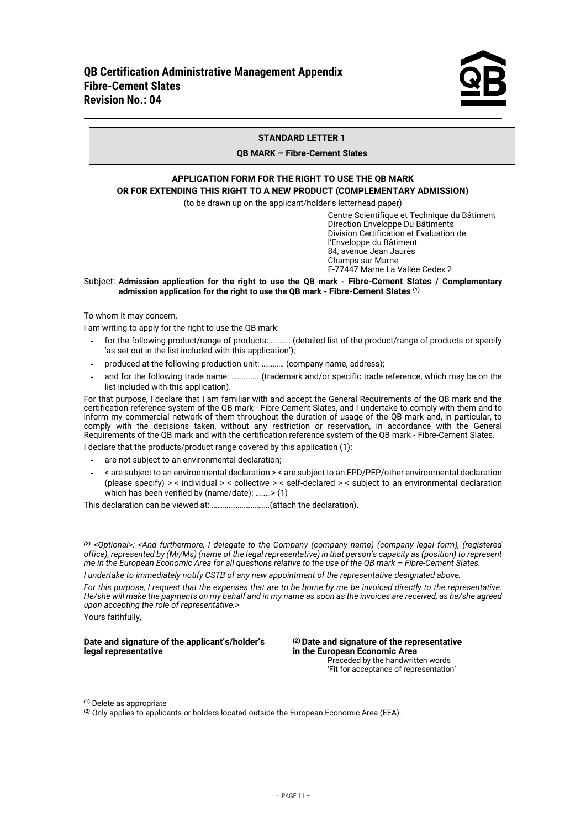

#### **STANDARD LETTER 1**

#### **QB MARK – Fibre-Cement Slates**

### **APPLICATION FORM FOR THE RIGHT TO USE THE QB MARK OR FOR EXTENDING THIS RIGHT TO A NEW PRODUCT (COMPLEMENTARY ADMISSION)**

(to be drawn up on the applicant/holder's letterhead paper)

Centre Scientifique et Technique du Bâtiment Direction Enveloppe Du Bâtiments Division Certification et Evaluation de l'Enveloppe du Bâtiment 84, avenue Jean Jaurès Champs sur Marne F-77447 Marne La Vallée Cedex 2

#### Subject: **Admission application for the right to use the QB mark - Fibre-Cement Slates / Complementary admission application for the right to use the QB mark - Fibre-Cement Slates (1)**

To whom it may concern,

I am writing to apply for the right to use the QB mark:

- for the following product/range of products:........... (detailed list of the product/range of products or specify 'as set out in the list included with this application');
- produced at the following production unit: ………… (company name, address);
- and for the following trade name: .............. (trademark and/or specific trade reference, which may be on the list included with this application).

For that purpose, I declare that I am familiar with and accept the General Requirements of the QB mark and the certification reference system of the QB mark - Fibre-Cement Slates, and I undertake to comply with them and to inform my commercial network of them throughout the duration of usage of the QB mark and, in particular, to comply with the decisions taken, without any restriction or reservation, in accordance with the General Requirements of the QB mark and with the certification reference system of the QB mark - Fibre-Cement Slates.

I declare that the products/product range covered by this application (1):

- are not subject to an environmental declaration;
- < are subject to an environmental declaration > < are subject to an EPD/PEP/other environmental declaration (please specify) > < individual > < collective > < self-declared > < subject to an environmental declaration which has been verified by (name/date): …..…> (1)

This declaration can be viewed at: ………………………….(attach the declaration).

*(2) <Optional>: <And furthermore, I delegate to the Company (company name) (company legal form), (registered office), represented by (Mr/Ms) (name of the legal representative) in that person's capacity as (position) to represent me in the European Economic Area for all questions relative to the use of the QB mark – Fibre-Cement Slates.*

*I undertake to immediately notify CSTB of any new appointment of the representative designated above.*

*For this purpose, I request that the expenses that are to be borne by me be invoiced directly to the representative. He/she will make the payments on my behalf and in my name as soon as the invoices are received, as he/she agreed upon accepting the role of representative.>*

Yours faithfully,

# **Date and signature of the applicant's/holder's (2) Date and signature of the representative**

in the European Economic Area Preceded by the handwritten words 'Fit for acceptance of representation'

**(1)** Delete as appropriate

**(2)** Only applies to applicants or holders located outside the European Economic Area (EEA).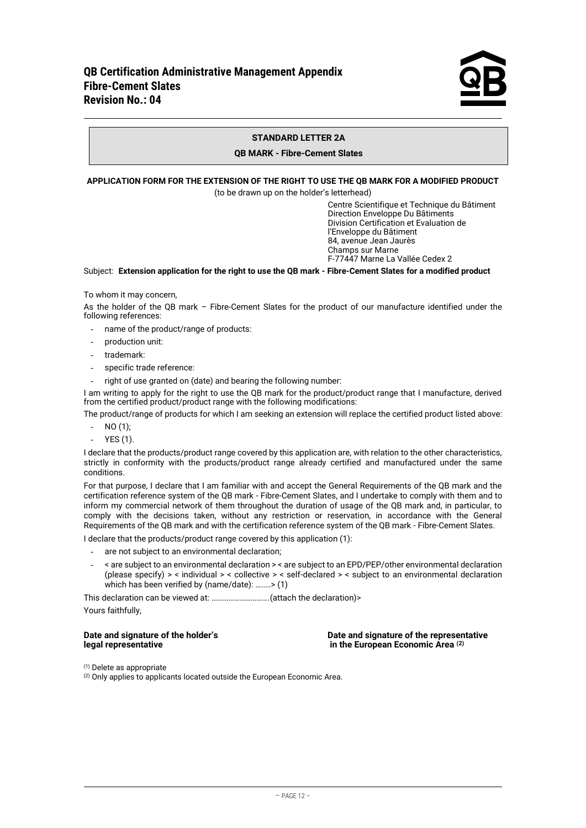

#### **STANDARD LETTER 2A**

#### **QB MARK - Fibre-Cement Slates**

#### **APPLICATION FORM FOR THE EXTENSION OF THE RIGHT TO USE THE QB MARK FOR A MODIFIED PRODUCT**

(to be drawn up on the holder's letterhead)

Centre Scientifique et Technique du Bâtiment Direction Enveloppe Du Bâtiments Division Certification et Evaluation de l'Enveloppe du Bâtiment 84, avenue Jean Jaurès Champs sur Marne F-77447 Marne La Vallée Cedex 2

#### Subject: **Extension application for the right to use the QB mark - Fibre-Cement Slates for a modified product**

To whom it may concern,

As the holder of the QB mark – Fibre-Cement Slates for the product of our manufacture identified under the following references:

- name of the product/range of products:
- production unit:
- trademark:
- specific trade reference:
- right of use granted on (date) and bearing the following number:

I am writing to apply for the right to use the QB mark for the product/product range that I manufacture, derived from the certified product/product range with the following modifications:

The product/range of products for which I am seeking an extension will replace the certified product listed above:

- $NO(1);$
- YES (1).

I declare that the products/product range covered by this application are, with relation to the other characteristics, strictly in conformity with the products/product range already certified and manufactured under the same conditions.

For that purpose, I declare that I am familiar with and accept the General Requirements of the QB mark and the certification reference system of the QB mark - Fibre-Cement Slates, and I undertake to comply with them and to inform my commercial network of them throughout the duration of usage of the QB mark and, in particular, to comply with the decisions taken, without any restriction or reservation, in accordance with the General Requirements of the QB mark and with the certification reference system of the QB mark - Fibre-Cement Slates.

I declare that the products/product range covered by this application (1):

- are not subiect to an environmental declaration:
- < are subject to an environmental declaration > < are subject to an EPD/PEP/other environmental declaration (please specify) > < individual > < collective > < self-declared > < subject to an environmental declaration which has been verified by (name/date): …..…> (1)

This declaration can be viewed at: ………………………….(attach the declaration)>

Yours faithfully,

| Date and signature of the holder's |  |
|------------------------------------|--|
| legal representative               |  |

**Date and signature of the representative in the European Economic Area** <sup>(2)</sup>

 $(1)$  Delete as appropriate

 $(2)$  Only applies to applicants located outside the European Economic Area.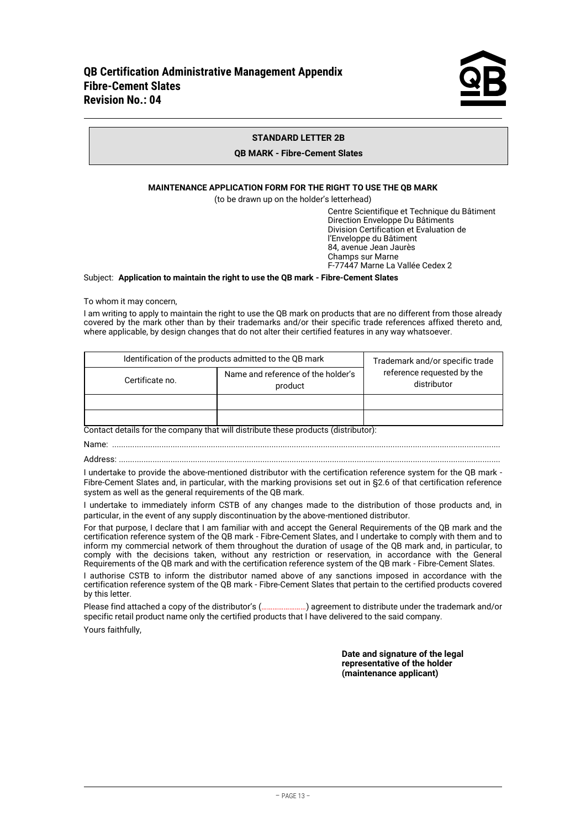

#### **STANDARD LETTER 2B**

#### **QB MARK - Fibre-Cement Slates**

#### **MAINTENANCE APPLICATION FORM FOR THE RIGHT TO USE THE QB MARK**

(to be drawn up on the holder's letterhead)

Centre Scientifique et Technique du Bâtiment Direction Enveloppe Du Bâtiments Division Certification et Evaluation de l'Enveloppe du Bâtiment 84, avenue Jean Jaurès Champs sur Marne F-77447 Marne La Vallée Cedex 2

#### Subject: **Application to maintain the right to use the QB mark - Fibre-Cement Slates**

To whom it may concern,

I am writing to apply to maintain the right to use the QB mark on products that are no different from those already covered by the mark other than by their trademarks and/or their specific trade references affixed thereto and, where applicable, by design changes that do not alter their certified features in any way whatsoever.

| Identification of the products admitted to the QB mark           | Trademark and/or specific trade |                                           |
|------------------------------------------------------------------|---------------------------------|-------------------------------------------|
| Name and reference of the holder's<br>Certificate no.<br>product |                                 | reference requested by the<br>distributor |
|                                                                  |                                 |                                           |
|                                                                  |                                 |                                           |

Contact details for the company that will distribute these products (distributor):

Name: .............................................................................................................................................................................

Address: ..........................................................................................................................................................................

I undertake to provide the above-mentioned distributor with the certification reference system for the QB mark - Fibre-Cement Slates and, in particular, with the marking provisions set out in §2.6 of that certification reference system as well as the general requirements of the QB mark.

I undertake to immediately inform CSTB of any changes made to the distribution of those products and, in particular, in the event of any supply discontinuation by the above-mentioned distributor.

For that purpose, I declare that I am familiar with and accept the General Requirements of the QB mark and the certification reference system of the QB mark - Fibre-Cement Slates, and I undertake to comply with them and to inform my commercial network of them throughout the duration of usage of the QB mark and, in particular, to comply with the decisions taken, without any restriction or reservation, in accordance with the General Requirements of the QB mark and with the certification reference system of the QB mark - Fibre-Cement Slates.

I authorise CSTB to inform the distributor named above of any sanctions imposed in accordance with the certification reference system of the QB mark - Fibre-Cement Slates that pertain to the certified products covered by this letter.

Please find attached a copy of the distributor's (……………………) agreement to distribute under the trademark and/or specific retail product name only the certified products that I have delivered to the said company.

Yours faithfully,

**Date and signature of the legal representative of the holder (maintenance applicant)**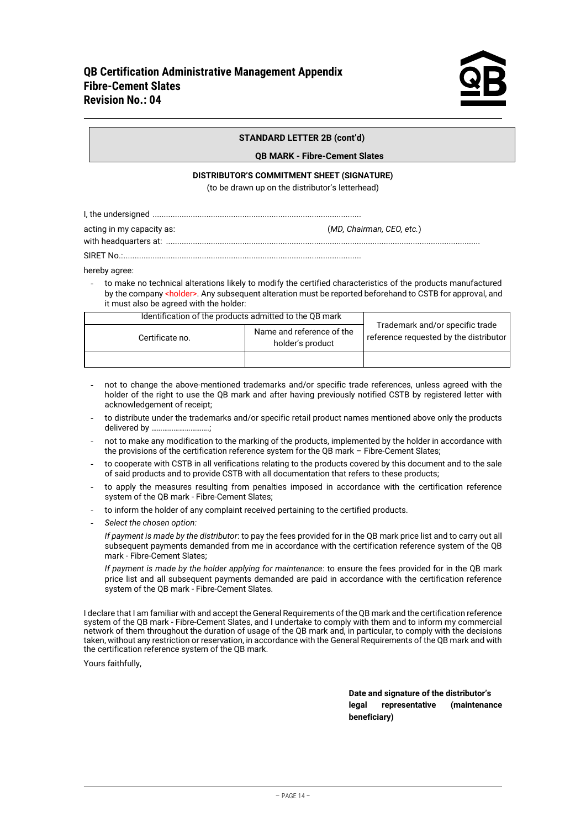SIRET No.:..........................................................................................................

#### **STANDARD LETTER 2B (cont'd)**

#### **QB MARK - Fibre-Cement Slates**

#### **DISTRIBUTOR'S COMMITMENT SHEET (SIGNATURE)**

(to be drawn up on the distributor's letterhead)

|--|--|

| acting in my capacity as: | (MD, Chairman, CEO, etc.) |
|---------------------------|---------------------------|
|                           |                           |

with headquarters at: ............................................................................................................................................

hereby agree:

to make no technical alterations likely to modify the certified characteristics of the products manufactured by the company <holder>. Any subsequent alteration must be reported beforehand to CSTB for approval, and it must also be agreed with the holder:

| Identification of the products admitted to the QB mark           |  |                                                                           |
|------------------------------------------------------------------|--|---------------------------------------------------------------------------|
| Name and reference of the<br>Certificate no.<br>holder's product |  | Trademark and/or specific trade<br>reference requested by the distributor |
|                                                                  |  |                                                                           |

- not to change the above-mentioned trademarks and/or specific trade references, unless agreed with the holder of the right to use the OB mark and after having previously notified CSTB by registered letter with acknowledgement of receipt;
- to distribute under the trademarks and/or specific retail product names mentioned above only the products delivered by ...
- not to make any modification to the marking of the products, implemented by the holder in accordance with the provisions of the certification reference system for the QB mark – Fibre-Cement Slates;
- to cooperate with CSTB in all verifications relating to the products covered by this document and to the sale of said products and to provide CSTB with all documentation that refers to these products;
- to apply the measures resulting from penalties imposed in accordance with the certification reference system of the QB mark - Fibre-Cement Slates;
- to inform the holder of any complaint received pertaining to the certified products.
- *Select the chosen option:*

*If payment is made by the distributor*: to pay the fees provided for in the QB mark price list and to carry out all subsequent payments demanded from me in accordance with the certification reference system of the QB mark - Fibre-Cement Slates;

*If payment is made by the holder applying for maintenance*: to ensure the fees provided for in the QB mark price list and all subsequent payments demanded are paid in accordance with the certification reference system of the QB mark - Fibre-Cement Slates.

I declare that I am familiar with and accept the General Requirements of the QB mark and the certification reference system of the QB mark - Fibre-Cement Slates, and I undertake to comply with them and to inform my commercial network of them throughout the duration of usage of the QB mark and, in particular, to comply with the decisions taken, without any restriction or reservation, in accordance with the General Requirements of the QB mark and with the certification reference system of the QB mark.

Yours faithfully,

**Date and signature of the distributor's legal representative (maintenance beneficiary)**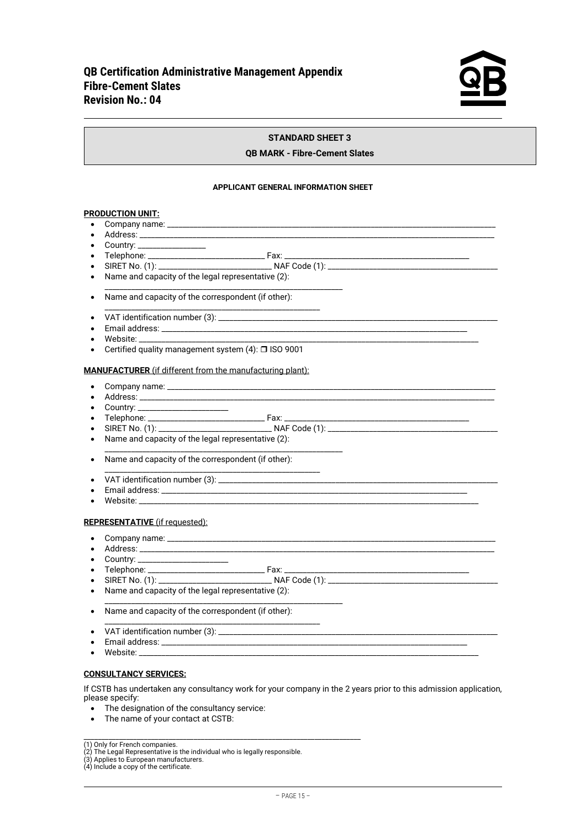

#### **STANDARD SHEET 3**

#### **QB MARK - Fibre-Cement Slates**

#### **APPLICANT GENERAL INFORMATION SHEET**

#### **PRODUCTION UNIT:**

- Company name:
- Address: \_\_\_\_\_\_\_\_\_\_\_\_\_\_\_\_\_\_\_\_\_\_\_\_\_\_\_\_\_\_\_\_\_\_\_\_\_\_\_\_\_\_\_\_\_\_\_\_\_\_\_\_\_\_\_\_\_\_\_\_\_\_\_\_\_\_\_\_\_\_\_\_\_\_\_\_\_\_\_\_\_\_\_\_\_\_\_\_\_\_\_\_\_\_
- Country: \_\_\_\_\_\_\_\_\_\_\_\_\_\_\_\_\_\_\_
- Telephone: \_\_\_\_\_\_\_\_\_\_\_\_\_\_\_\_\_\_\_\_\_\_\_\_\_\_\_\_\_\_\_ Fax: \_\_\_\_\_\_\_\_\_\_\_\_\_\_\_\_\_\_\_\_\_\_\_\_\_\_\_\_\_\_\_\_\_\_\_\_\_\_\_\_\_\_\_\_\_\_\_\_\_
- SIRET No. (1): \_\_\_\_\_\_\_\_\_\_\_\_\_\_\_\_\_\_\_\_\_\_\_\_\_\_\_\_\_\_ NAF Code (1): \_\_\_\_\_\_\_\_\_\_\_\_\_\_\_\_\_\_\_\_\_\_\_\_\_\_\_\_\_\_\_\_\_\_\_\_\_\_\_\_\_\_\_\_\_

\_\_\_\_\_\_\_\_\_\_\_\_\_\_\_\_\_\_\_\_\_\_\_\_\_\_\_\_\_\_\_\_\_\_\_\_\_\_\_\_\_\_\_\_\_\_\_\_\_\_\_\_\_\_\_\_\_\_\_\_\_\_\_

\_\_\_\_\_\_\_\_\_\_\_\_\_\_\_\_\_\_\_\_\_\_\_\_\_\_\_\_\_\_\_\_\_\_\_\_\_\_\_\_\_\_\_\_\_\_\_\_\_\_\_\_\_\_\_\_\_

- Name and capacity of the legal representative  $(2)$ :
- Name and capacity of the correspondent (if other):
- VAT identification number (3): \_\_\_\_\_\_\_\_\_\_\_\_\_\_\_\_\_\_\_\_\_\_\_\_\_\_\_\_\_\_\_\_\_\_\_\_\_\_\_\_\_\_\_\_\_\_\_\_\_\_\_\_\_\_\_\_\_\_\_\_\_\_\_\_\_\_\_\_\_\_\_\_\_\_
- Email address: \_\_\_\_\_\_\_\_\_\_\_\_\_\_\_\_\_\_\_\_\_\_\_\_\_\_\_\_\_\_\_\_\_\_\_\_\_\_\_\_\_\_\_\_\_\_\_\_\_\_\_\_\_\_\_\_\_\_\_\_\_\_\_\_\_\_\_\_\_\_\_\_\_\_\_\_\_\_\_\_\_
- Website: \_\_\_\_\_\_\_\_\_\_\_\_\_\_\_\_\_\_\_\_\_\_\_\_\_\_\_\_\_\_\_\_\_\_\_\_\_\_\_\_\_\_\_\_\_\_\_\_\_\_\_\_\_\_\_\_\_\_\_\_\_\_\_\_\_\_\_\_\_\_\_\_\_\_\_\_\_\_\_\_\_\_\_\_\_\_\_\_\_\_
- Certified quality management system  $(4)$ :  $\Box$  ISO 9001

#### **MANUFACTURER** (if different from the manufacturing plant):

- Company name: \_\_\_\_\_\_\_\_\_\_\_\_\_\_\_\_\_\_\_\_\_\_\_\_\_\_\_\_\_\_\_\_\_\_\_\_\_\_\_\_\_\_\_\_\_\_\_\_\_\_\_\_\_\_\_\_\_\_\_\_\_\_\_\_\_\_\_\_\_\_\_\_\_\_\_\_\_\_\_\_\_\_\_\_\_\_\_
- Address: \_\_\_\_\_\_\_\_\_\_\_\_\_\_\_\_\_\_\_\_\_\_\_\_\_\_\_\_\_\_\_\_\_\_\_\_\_\_\_\_\_\_\_\_\_\_\_\_\_\_\_\_\_\_\_\_\_\_\_\_\_\_\_\_\_\_\_\_\_\_\_\_\_\_\_\_\_\_\_\_\_\_\_\_\_\_\_\_\_\_\_\_\_\_
- Country: \_\_\_\_\_\_\_\_\_\_\_\_\_\_\_\_\_\_\_\_\_\_\_\_\_\_\_
- Telephone: \_\_\_\_\_\_\_\_\_\_\_\_\_\_\_\_\_\_\_\_\_\_\_\_\_\_\_\_\_\_\_ Fax: \_\_\_\_\_\_\_\_\_\_\_\_\_\_\_\_\_\_\_\_\_\_\_\_\_\_\_\_\_\_\_\_\_\_\_\_\_\_\_\_\_\_\_\_\_\_\_\_\_
- SIRET No. (1): \_\_\_\_\_\_\_\_\_\_\_\_\_\_\_\_\_\_\_\_\_\_\_\_\_\_\_\_\_\_ NAF Code (1): \_\_\_\_\_\_\_\_\_\_\_\_\_\_\_\_\_\_\_\_\_\_\_\_\_\_\_\_\_\_\_\_\_\_\_\_\_\_\_\_\_\_\_\_\_

\_\_\_\_\_\_\_\_\_\_\_\_\_\_\_\_\_\_\_\_\_\_\_\_\_\_\_\_\_\_\_\_\_\_\_\_\_\_\_\_\_\_\_\_\_\_\_\_\_\_\_\_\_\_\_\_\_\_\_\_\_\_\_

- Name and capacity of the legal representative (2):
- Name and capacity of the correspondent (if other):
- \_\_\_\_\_\_\_\_\_\_\_\_\_\_\_\_\_\_\_\_\_\_\_\_\_\_\_\_\_\_\_\_\_\_\_\_\_\_\_\_\_\_\_\_\_\_\_\_\_\_\_\_\_\_\_\_\_ • VAT identification number (3): \_\_\_\_\_\_\_\_\_\_\_\_\_\_\_\_\_\_\_\_\_\_\_\_\_\_\_\_\_\_\_\_\_\_\_\_\_\_\_\_\_\_\_\_\_\_\_\_\_\_\_\_\_\_\_\_\_\_\_\_\_\_\_\_\_\_\_\_\_\_\_\_\_\_
- Email address: \_\_\_\_\_\_\_\_\_\_\_\_\_\_\_\_\_\_\_\_\_\_\_\_\_\_\_\_\_\_\_\_\_\_\_\_\_\_\_\_\_\_\_\_\_\_\_\_\_\_\_\_\_\_\_\_\_\_\_\_\_\_\_\_\_\_\_\_\_\_\_\_\_\_\_\_\_\_\_\_\_
- Website:

#### **REPRESENTATIVE** (if requested):

- Company name: \_\_\_\_\_\_\_\_\_\_\_\_\_\_\_\_\_\_\_\_\_\_\_\_\_\_\_\_\_\_\_\_\_\_\_\_\_\_\_\_\_\_\_\_\_\_\_\_\_\_\_\_\_\_\_\_\_\_\_\_\_\_\_\_\_\_\_\_\_\_\_\_\_\_\_\_\_\_\_\_\_\_\_\_\_\_\_
- Address: \_\_\_\_\_\_\_\_\_\_\_\_\_\_\_\_\_\_\_\_\_\_\_\_\_\_\_\_\_\_\_\_\_\_\_\_\_\_\_\_\_\_\_\_\_\_\_\_\_\_\_\_\_\_\_\_\_\_\_\_\_\_\_\_\_\_\_\_\_\_\_\_\_\_\_\_\_\_\_\_\_\_\_\_\_\_\_\_\_\_\_\_\_\_
- Country: \_\_\_\_\_\_\_\_\_\_\_\_\_\_\_\_\_\_\_\_\_\_\_\_
- Telephone: \_\_\_\_\_\_\_\_\_\_\_\_\_\_\_\_\_\_\_\_\_\_\_\_\_\_\_\_\_\_\_ Fax: \_\_\_\_\_\_\_\_\_\_\_\_\_\_\_\_\_\_\_\_\_\_\_\_\_\_\_\_\_\_\_\_\_\_\_\_\_\_\_\_\_\_\_\_\_\_\_\_\_
- SIRET No. (1): \_\_\_\_\_\_\_\_\_\_\_\_\_\_\_\_\_\_\_\_\_\_\_\_\_\_\_\_\_\_ NAF Code (1): \_\_\_\_\_\_\_\_\_\_\_\_\_\_\_\_\_\_\_\_\_\_\_\_\_\_\_\_\_\_\_\_\_\_\_\_\_\_\_\_\_\_\_\_\_ • Name and capacity of the legal representative (2):

\_\_\_\_\_\_\_\_\_\_\_\_\_\_\_\_\_\_\_\_\_\_\_\_\_\_\_\_\_\_\_\_\_\_\_\_\_\_\_\_\_\_\_\_\_\_\_\_\_\_\_\_\_\_\_\_\_

- \_\_\_\_\_\_\_\_\_\_\_\_\_\_\_\_\_\_\_\_\_\_\_\_\_\_\_\_\_\_\_\_\_\_\_\_\_\_\_\_\_\_\_\_\_\_\_\_\_\_\_\_\_\_\_\_\_\_\_\_\_\_\_
- Name and capacity of the correspondent (if other):
- VAT identification number (3):
- Email address: \_\_\_\_\_\_\_\_\_\_\_\_\_\_\_\_\_\_\_\_\_\_\_\_\_\_\_\_\_\_\_\_\_\_\_\_\_\_\_\_\_\_\_\_\_\_\_\_\_\_\_\_\_\_\_\_\_\_\_\_\_\_\_\_\_\_\_\_\_\_\_\_\_\_\_\_\_\_\_\_\_
- Website: \_\_\_\_\_\_\_\_\_\_\_\_\_\_\_\_\_\_\_\_\_\_\_\_\_\_\_\_\_\_\_\_\_\_\_\_\_\_\_\_\_\_\_\_\_\_\_\_\_\_\_\_\_\_\_\_\_\_\_\_\_\_\_\_\_\_\_\_\_\_\_\_\_\_\_\_\_\_\_\_\_\_\_\_\_\_\_\_\_\_

#### **CONSULTANCY SERVICES:**

If CSTB has undertaken any consultancy work for your company in the 2 years prior to this admission application, please specify:

- The designation of the consultancy service:
- The name of your contact at CSTB:

(1) Only for French companies.<br>(2) The Legal Representative is the individual who is legally responsible.<br>(3) Applies to European manufacturers.<br>(4) Include a copy of the certificate.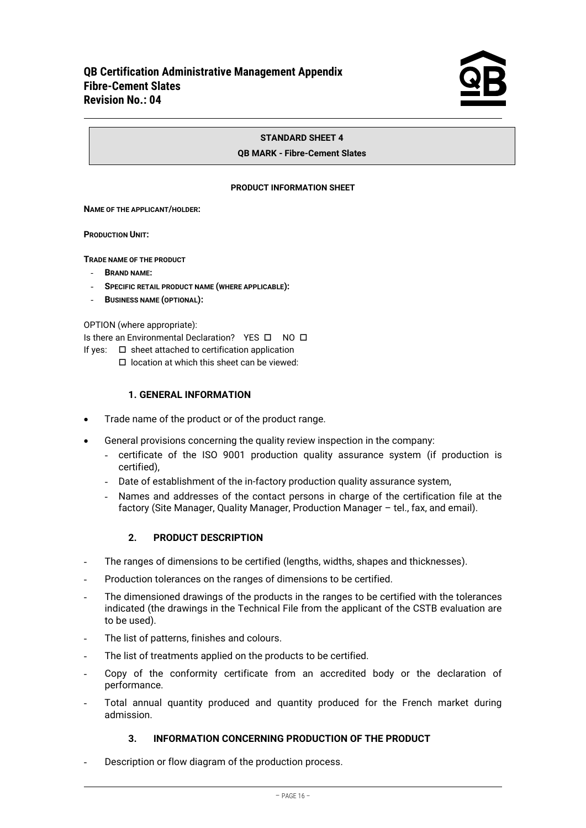#### **STANDARD SHEET 4**

#### **QB MARK - Fibre-Cement Slates**

#### **PRODUCT INFORMATION SHEET**

#### **NAME OF THE APPLICANT/HOLDER:**

#### **PRODUCTION UNIT:**

**TRADE NAME OF THE PRODUCT**

- **BRAND NAME:**
- **SPECIFIC RETAIL PRODUCT NAME (WHERE APPLICABLE):**
- **BUSINESS NAME (OPTIONAL):**

OPTION (where appropriate):

Is there an Environmental Declaration? YES  $\Box$  NO  $\Box$ 

If yes:  $\square$  sheet attached to certification application

location at which this sheet can be viewed:

### **1. GENERAL INFORMATION**

- Trade name of the product or of the product range.
- General provisions concerning the quality review inspection in the company:
	- certificate of the ISO 9001 production quality assurance system (if production is certified),
	- Date of establishment of the in-factory production quality assurance system,
	- Names and addresses of the contact persons in charge of the certification file at the factory (Site Manager, Quality Manager, Production Manager – tel., fax, and email).

#### **2. PRODUCT DESCRIPTION**

- The ranges of dimensions to be certified (lengths, widths, shapes and thicknesses).
- Production tolerances on the ranges of dimensions to be certified.
- The dimensioned drawings of the products in the ranges to be certified with the tolerances indicated (the drawings in the Technical File from the applicant of the CSTB evaluation are to be used).
- The list of patterns, finishes and colours.
- The list of treatments applied on the products to be certified.
- Copy of the conformity certificate from an accredited body or the declaration of performance.
- Total annual quantity produced and quantity produced for the French market during admission.

### **3. INFORMATION CONCERNING PRODUCTION OF THE PRODUCT**

Description or flow diagram of the production process.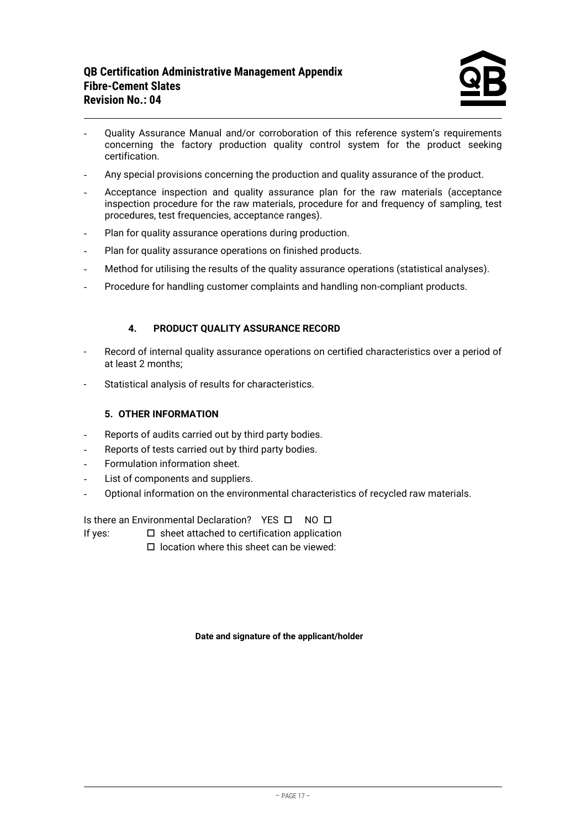- Quality Assurance Manual and/or corroboration of this reference system's requirements concerning the factory production quality control system for the product seeking certification.
- Any special provisions concerning the production and quality assurance of the product.
- Acceptance inspection and quality assurance plan for the raw materials (acceptance inspection procedure for the raw materials, procedure for and frequency of sampling, test procedures, test frequencies, acceptance ranges).
- Plan for quality assurance operations during production.
- Plan for quality assurance operations on finished products.
- Method for utilising the results of the quality assurance operations (statistical analyses).
- Procedure for handling customer complaints and handling non-compliant products.

### **4. PRODUCT QUALITY ASSURANCE RECORD**

- Record of internal quality assurance operations on certified characteristics over a period of at least 2 months;
- Statistical analysis of results for characteristics.

### **5. OTHER INFORMATION**

- Reports of audits carried out by third party bodies.
- Reports of tests carried out by third party bodies.
- Formulation information sheet.
- List of components and suppliers.
- Optional information on the environmental characteristics of recycled raw materials.

Is there an Environmental Declaration? YES  $\Box$  NO  $\Box$ 

- If yes:  $\square$  sheet attached to certification application
	- $\Box$  location where this sheet can be viewed:

#### **Date and signature of the applicant/holder**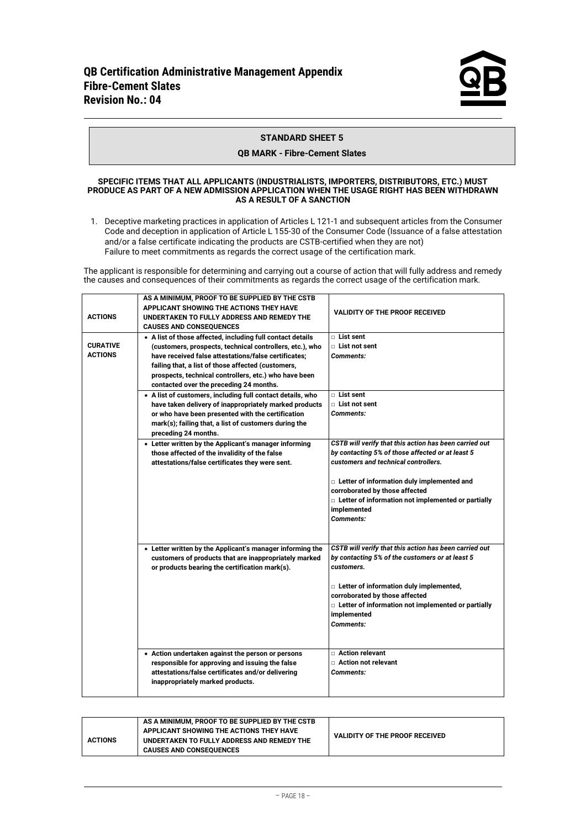#### **STANDARD SHEET 5**

#### **QB MARK - Fibre-Cement Slates**

#### **SPECIFIC ITEMS THAT ALL APPLICANTS (INDUSTRIALISTS, IMPORTERS, DISTRIBUTORS, ETC.) MUST PRODUCE AS PART OF A NEW ADMISSION APPLICATION WHEN THE USAGE RIGHT HAS BEEN WITHDRAWN AS A RESULT OF A SANCTION**

1. Deceptive marketing practices in application of Articles L 121-1 and subsequent articles from the Consumer Code and deception in application of Article L 155-30 of the Consumer Code (Issuance of a false attestation and/or a false certificate indicating the products are CSTB-certified when they are not) Failure to meet commitments as regards the correct usage of the certification mark.

The applicant is responsible for determining and carrying out a course of action that will fully address and remedy the causes and consequences of their commitments as regards the correct usage of the certification mark.

| <b>ACTIONS</b>                    | AS A MINIMUM, PROOF TO BE SUPPLIED BY THE CSTB<br>APPLICANT SHOWING THE ACTIONS THEY HAVE<br>UNDERTAKEN TO FULLY ADDRESS AND REMEDY THE<br><b>CAUSES AND CONSEQUENCES</b>                                                                                                                                                                                                                                                                                                                                                                                                      | <b>VALIDITY OF THE PROOF RECEIVED</b>                                                                                                                                                                                                                                                                                           |
|-----------------------------------|--------------------------------------------------------------------------------------------------------------------------------------------------------------------------------------------------------------------------------------------------------------------------------------------------------------------------------------------------------------------------------------------------------------------------------------------------------------------------------------------------------------------------------------------------------------------------------|---------------------------------------------------------------------------------------------------------------------------------------------------------------------------------------------------------------------------------------------------------------------------------------------------------------------------------|
| <b>CURATIVE</b><br><b>ACTIONS</b> | • A list of those affected, including full contact details<br>(customers, prospects, technical controllers, etc.), who<br>have received false attestations/false certificates;<br>failing that, a list of those affected (customers,<br>prospects, technical controllers, etc.) who have been<br>contacted over the preceding 24 months.<br>• A list of customers, including full contact details, who<br>have taken delivery of inappropriately marked products<br>or who have been presented with the certification<br>mark(s); failing that, a list of customers during the | $\Box$ List sent<br>$\Box$ List not sent<br><b>Comments:</b><br>$\Box$ List sent<br>$\Box$ List not sent<br><b>Comments:</b>                                                                                                                                                                                                    |
|                                   | preceding 24 months.<br>• Letter written by the Applicant's manager informing<br>those affected of the invalidity of the false<br>attestations/false certificates they were sent.                                                                                                                                                                                                                                                                                                                                                                                              | CSTB will verify that this action has been carried out<br>by contacting 5% of those affected or at least 5<br>customers and technical controllers.<br>□ Letter of information duly implemented and<br>corroborated by those affected<br>□ Letter of information not implemented or partially<br>implemented<br><b>Comments:</b> |
|                                   | • Letter written by the Applicant's manager informing the<br>customers of products that are inappropriately marked<br>or products bearing the certification mark(s).<br>• Action undertaken against the person or persons                                                                                                                                                                                                                                                                                                                                                      | CSTB will verify that this action has been carried out<br>by contacting 5% of the customers or at least 5<br>customers.<br>□ Letter of information duly implemented,<br>corroborated by those affected<br>□ Letter of information not implemented or partially<br>implemented<br><b>Comments:</b><br>□ Action relevant          |
|                                   | responsible for approving and issuing the false<br>attestations/false certificates and/or delivering<br>inappropriately marked products.                                                                                                                                                                                                                                                                                                                                                                                                                                       | □ Action not relevant<br><b>Comments:</b>                                                                                                                                                                                                                                                                                       |

|                | AS A MINIMUM. PROOF TO BE SUPPLIED BY THE CSTB |                                       |
|----------------|------------------------------------------------|---------------------------------------|
|                | APPLICANT SHOWING THE ACTIONS THEY HAVE        | <b>VALIDITY OF THE PROOF RECEIVED</b> |
| <b>ACTIONS</b> | UNDERTAKEN TO FULLY ADDRESS AND REMEDY THE     |                                       |
|                | <b>CAUSES AND CONSEQUENCES</b>                 |                                       |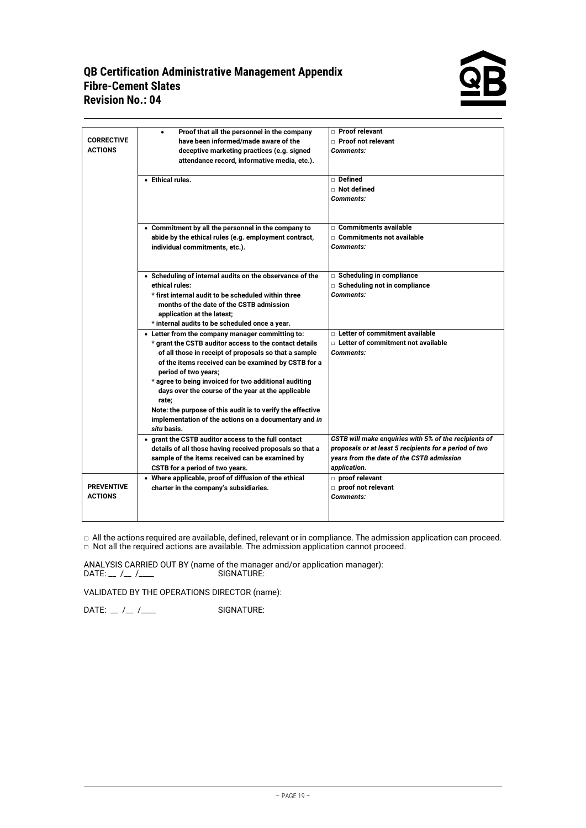## **QB Certification Administrative Management Appendix Fibre-Cement Slates Revision No.: 04**



| <b>CORRECTIVE</b><br><b>ACTIONS</b> | Proof that all the personnel in the company<br>٠<br>have been informed/made aware of the<br>deceptive marketing practices (e.g. signed<br>attendance record, informative media, etc.).<br>• Ethical rules.                                                                                                                                                                                                                                                                                        | □ Proof relevant<br>□ Proof not relevant<br>Comments:<br>Defined<br>$\Box$ Not defined<br>Comments:                                                                          |
|-------------------------------------|---------------------------------------------------------------------------------------------------------------------------------------------------------------------------------------------------------------------------------------------------------------------------------------------------------------------------------------------------------------------------------------------------------------------------------------------------------------------------------------------------|------------------------------------------------------------------------------------------------------------------------------------------------------------------------------|
|                                     | • Commitment by all the personnel in the company to<br>abide by the ethical rules (e.g. employment contract,<br>individual commitments, etc.).                                                                                                                                                                                                                                                                                                                                                    | $\Box$ Commitments available<br>□ Commitments not available<br>Comments:                                                                                                     |
|                                     | • Scheduling of internal audits on the observance of the<br>ethical rules:<br>* first internal audit to be scheduled within three<br>months of the date of the CSTB admission<br>application at the latest;<br>* internal audits to be scheduled once a year.                                                                                                                                                                                                                                     | □ Scheduling in compliance<br>□ Scheduling not in compliance<br>Comments:                                                                                                    |
|                                     | • Letter from the company manager committing to:<br>* grant the CSTB auditor access to the contact details<br>of all those in receipt of proposals so that a sample<br>of the items received can be examined by CSTB for a<br>period of two years;<br>* agree to being invoiced for two additional auditing<br>days over the course of the year at the applicable<br>rate;<br>Note: the purpose of this audit is to verify the effective<br>implementation of the actions on a documentary and in | $\Box$ Letter of commitment available<br>$\Box$ Letter of commitment not available<br><b>Comments:</b>                                                                       |
|                                     | situ basis.<br>• grant the CSTB auditor access to the full contact<br>details of all those having received proposals so that a<br>sample of the items received can be examined by<br>CSTB for a period of two years.                                                                                                                                                                                                                                                                              | CSTB will make enquiries with 5% of the recipients of<br>proposals or at least 5 recipients for a period of two<br>years from the date of the CSTB admission<br>application. |
| <b>PREVENTIVE</b><br><b>ACTIONS</b> | • Where applicable, proof of diffusion of the ethical<br>charter in the company's subsidiaries.                                                                                                                                                                                                                                                                                                                                                                                                   | proof relevant<br>proof not relevant<br>Comments:                                                                                                                            |

 $\Box$  All the actions required are available, defined, relevant or in compliance. The admission application can proceed.  $\Box$  Not all the required actions are available. The admission application cannot proceed.

ANALYSIS CARRIED OUT BY (name of the manager and/or application manager): DATE: \_\_ /\_\_ /\_\_\_\_ SIGNATURE:

VALIDATED BY THE OPERATIONS DIRECTOR (name):

DATE:  $\angle$  / $\angle$  / $\angle$  /  $\angle$  /  $\angle$  /  $\angle$  SIGNATURE: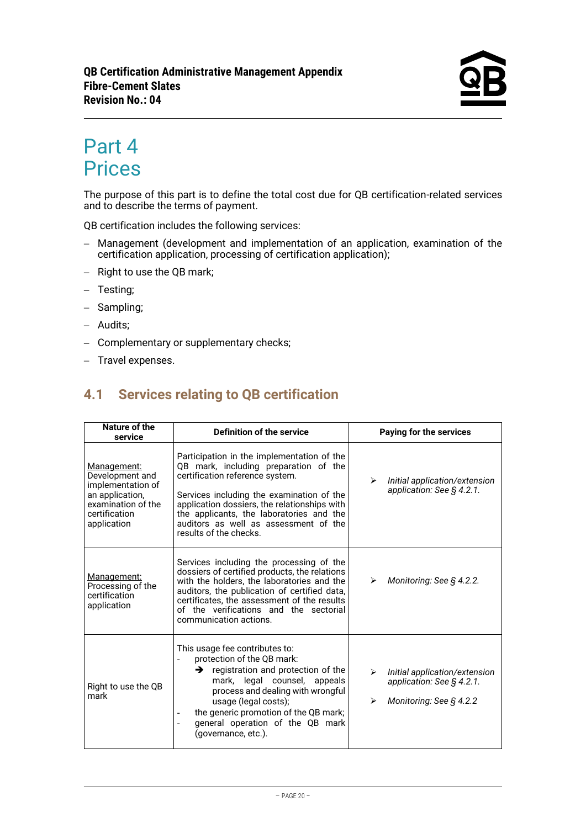# <span id="page-19-0"></span>Part 4 **Prices**

The purpose of this part is to define the total cost due for QB certification-related services and to describe the terms of payment.

QB certification includes the following services:

- − Management (development and implementation of an application, examination of the certification application, processing of certification application);
- − Right to use the QB mark;
- − Testing;
- − Sampling;
- − Audits;
- − Complementary or supplementary checks;
- <span id="page-19-1"></span>− Travel expenses.

# **4.1 Services relating to QB certification**

| Nature of the<br>service                                                                                                     | Definition of the service                                                                                                                                                                                                                                                                                                          | Paying for the services                                                                            |
|------------------------------------------------------------------------------------------------------------------------------|------------------------------------------------------------------------------------------------------------------------------------------------------------------------------------------------------------------------------------------------------------------------------------------------------------------------------------|----------------------------------------------------------------------------------------------------|
| Management:<br>Development and<br>implementation of<br>an application,<br>examination of the<br>certification<br>application | Participation in the implementation of the<br>QB mark, including preparation of the<br>certification reference system.<br>Services including the examination of the<br>application dossiers, the relationships with<br>the applicants, the laboratories and the<br>auditors as well as assessment of the<br>results of the checks. | Initial application/extension<br>⋗<br>application: See § 4.2.1.                                    |
| Management:<br>Processing of the<br>certification<br>application                                                             | Services including the processing of the<br>dossiers of certified products, the relations<br>with the holders, the laboratories and the<br>auditors, the publication of certified data,<br>certificates, the assessment of the results<br>of the verifications and the sectorial<br>communication actions.                         | Monitoring: See § 4.2.2.<br>⋗                                                                      |
| Right to use the QB<br>mark                                                                                                  | This usage fee contributes to:<br>protection of the QB mark:<br>$\rightarrow$ registration and protection of the<br>mark, legal counsel, appeals<br>process and dealing with wrongful<br>usage (legal costs);<br>the generic promotion of the QB mark;<br>general operation of the QB mark<br>(governance, etc.).                  | Initial application/extension<br>↘<br>application: See $\S$ 4.2.1.<br>Monitoring: See § 4.2.2<br>➤ |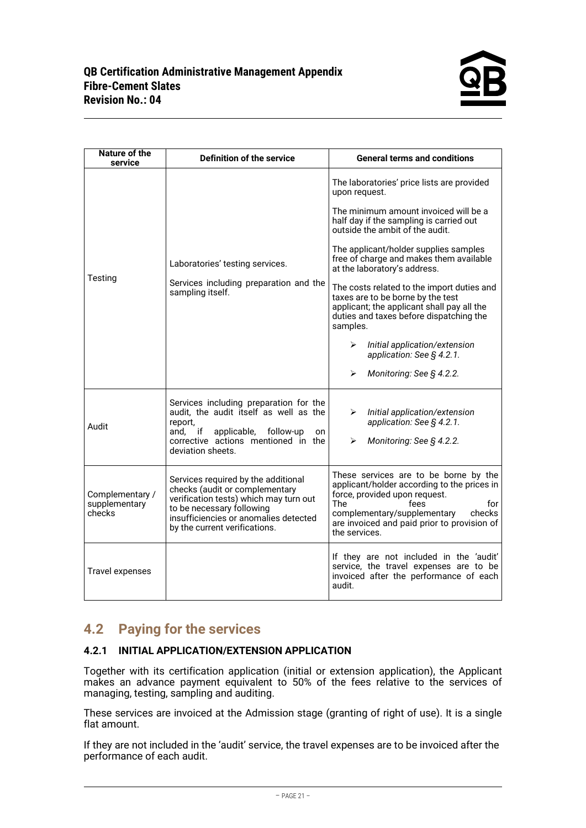| Nature of the<br>service                   | <b>Definition of the service</b>                                                                                                                                                                                       | <b>General terms and conditions</b>                                                                                                                                                                                                                  |
|--------------------------------------------|------------------------------------------------------------------------------------------------------------------------------------------------------------------------------------------------------------------------|------------------------------------------------------------------------------------------------------------------------------------------------------------------------------------------------------------------------------------------------------|
|                                            |                                                                                                                                                                                                                        | The laboratories' price lists are provided<br>upon request.                                                                                                                                                                                          |
|                                            |                                                                                                                                                                                                                        | The minimum amount invoiced will be a<br>half day if the sampling is carried out<br>outside the ambit of the audit.                                                                                                                                  |
|                                            | Laboratories' testing services.                                                                                                                                                                                        | The applicant/holder supplies samples<br>free of charge and makes them available<br>at the laboratory's address.                                                                                                                                     |
| Testing                                    | Services including preparation and the<br>sampling itself.                                                                                                                                                             | The costs related to the import duties and<br>taxes are to be borne by the test<br>applicant; the applicant shall pay all the<br>duties and taxes before dispatching the<br>samples.                                                                 |
|                                            |                                                                                                                                                                                                                        | Initial application/extension<br>↘<br>application: See § 4.2.1.                                                                                                                                                                                      |
|                                            |                                                                                                                                                                                                                        | Monitoring: See § 4.2.2.<br>⋗                                                                                                                                                                                                                        |
| Audit                                      | Services including preparation for the<br>audit, the audit itself as well as the<br>report,<br>and.<br>if<br>applicable,<br>follow-up<br>on<br>corrective actions mentioned in the<br>deviation sheets.                | Initial application/extension<br>⋗<br>application: See § 4.2.1.<br>Monitoring: See § 4.2.2.<br>⋗                                                                                                                                                     |
| Complementary /<br>supplementary<br>checks | Services required by the additional<br>checks (audit or complementary<br>verification tests) which may turn out<br>to be necessary following<br>insufficiencies or anomalies detected<br>by the current verifications. | These services are to be borne by the<br>applicant/holder according to the prices in<br>force, provided upon request.<br>The<br>fees<br>for<br>complementary/supplementary<br>checks<br>are invoiced and paid prior to provision of<br>the services. |
| <b>Travel expenses</b>                     |                                                                                                                                                                                                                        | If they are not included in the 'audit'<br>service, the travel expenses are to be<br>invoiced after the performance of each<br>audit.                                                                                                                |

# <span id="page-20-0"></span>**4.2 Paying for the services**

### **4.2.1 INITIAL APPLICATION/EXTENSION APPLICATION**

Together with its certification application (initial or extension application), the Applicant makes an advance payment equivalent to 50% of the fees relative to the services of managing, testing, sampling and auditing.

These services are invoiced at the Admission stage (granting of right of use). It is a single flat amount.

If they are not included in the 'audit' service, the travel expenses are to be invoiced after the performance of each audit.